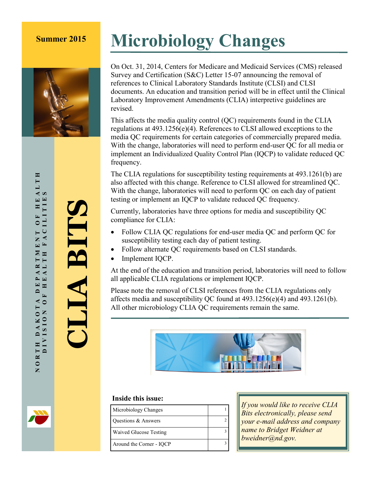

# **Summer 2015 Microbiology Changes**

On Oct. 31, 2014, Centers for Medicare and Medicaid Services (CMS) released Survey and Certification (S&C) Letter 15-07 announcing the removal of references to Clinical Laboratory Standards Institute (CLSI) and CLSI documents. An education and transition period will be in effect until the Clinical Laboratory Improvement Amendments (CLIA) interpretive guidelines are revised.

This affects the media quality control (QC) requirements found in the CLIA regulations at 493.1256(e)(4). References to CLSI allowed exceptions to the media QC requirements for certain categories of commercially prepared media. With the change, laboratories will need to perform end-user QC for all media or implement an Individualized Quality Control Plan (IQCP) to validate reduced QC frequency.

The CLIA regulations for susceptibility testing requirements at 493.1261(b) are also affected with this change. Reference to CLSI allowed for streamlined QC. With the change, laboratories will need to perform QC on each day of patient testing or implement an IQCP to validate reduced QC frequency.

Currently, laboratories have three options for media and susceptibility QC compliance for CLIA:

- Follow CLIA QC regulations for end-user media QC and perform QC for susceptibility testing each day of patient testing.
- Follow alternate QC requirements based on CLSI standards.
- Implement IQCP.

At the end of the education and transition period, laboratories will need to follow all applicable CLIA regulations or implement IQCP.

Please note the removal of CLSI references from the CLIA regulations only affects media and susceptibility QC found at 493.1256(e)(4) and 493.1261(b). All other microbiology CLIA QC requirements remain the same.



#### **Inside this issue:**

| Microbiology Changes          |  |
|-------------------------------|--|
|                               |  |
| Questions & Answers           |  |
|                               |  |
| <b>Waived Glucose Testing</b> |  |
|                               |  |
| Around the Corner - IQCP      |  |

*If you would like to receive CLIA Bits electronically, please send your e-mail address and company name to Bridget Weidner at bweidner@nd.gov.*

**CLIA BITS**

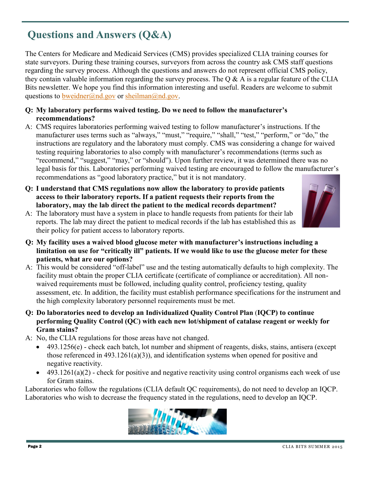## **Questions and Answers (Q&A)**

The Centers for Medicare and Medicaid Services (CMS) provides specialized CLIA training courses for state surveyors. During these training courses, surveyors from across the country ask CMS staff questions regarding the survey process. Although the questions and answers do not represent official CMS policy, they contain valuable information regarding the survey process. The  $\overline{Q} \& A$  is a regular feature of the CLIA Bits newsletter. We hope you find this information interesting and useful. Readers are welcome to submit questions to [bweidner@nd.gov](mailto:bweidner@nd.gov) or [sheilman@nd.gov.](mailto:sheilman@nd.gov)

- **Q: My laboratory performs waived testing. Do we need to follow the manufacturer's recommendations?**
- A: CMS requires laboratories performing waived testing to follow manufacturer's instructions. If the manufacturer uses terms such as "always," "must," "require," "shall," "test," "perform," or "do," the instructions are regulatory and the laboratory must comply. CMS was considering a change for waived testing requiring laboratories to also comply with manufacturer's recommendations (terms such as "recommend," "suggest," "may," or "should"). Upon further review, it was determined there was no legal basis for this. Laboratories performing waived testing are encouraged to follow the manufacturer's recommendations as "good laboratory practice," but it is not mandatory.
- **Q: I understand that CMS regulations now allow the laboratory to provide patients access to their laboratory reports. If a patient requests their reports from the laboratory, may the lab direct the patient to the medical records department?**



- A: The laboratory must have a system in place to handle requests from patients for their lab reports. The lab may direct the patient to medical records if the lab has established this as their policy for patient access to laboratory reports.
- **Q: My facility uses a waived blood glucose meter with manufacturer's instructions including a limitation on use for "critically ill" patients. If we would like to use the glucose meter for these patients, what are our options?**
- A: This would be considered "off-label" use and the testing automatically defaults to high complexity. The facility must obtain the proper CLIA certificate (certificate of compliance or accreditation). All nonwaived requirements must be followed, including quality control, proficiency testing, quality assessment, etc. In addition, the facility must establish performance specifications for the instrument and the high complexity laboratory personnel requirements must be met.
- **Q: Do laboratories need to develop an Individualized Quality Control Plan** (**IQCP) to continue performing Quality Control (QC) with each new lot/shipment of catalase reagent or weekly for Gram stains?**
- A: No, the CLIA regulations for those areas have not changed.
	- $\bullet$  493.1256(e) check each batch, lot number and shipment of reagents, disks, stains, antisera (except those referenced in 493.1261(a)(3)), and identification systems when opened for positive and negative reactivity.
	- $\bullet$  493.1261(a)(2) check for positive and negative reactivity using control organisms each week of use for Gram stains.

Laboratories who follow the regulations (CLIA default QC requirements), do not need to develop an IQCP. Laboratories who wish to decrease the frequency stated in the regulations, need to develop an IQCP.